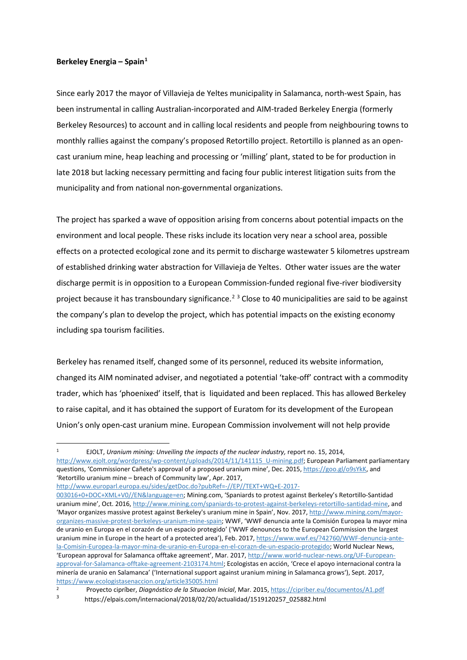## **Berkeley Energia – Spain[1](#page-0-0)**

Since early 2017 the mayor of Villavieja de Yeltes municipality in Salamanca, north-west Spain, has been instrumental in calling Australian-incorporated and AIM-traded Berkeley Energia (formerly Berkeley Resources) to account and in calling local residents and people from neighbouring towns to monthly rallies against the company's proposed Retortillo project. Retortillo is planned as an opencast uranium mine, heap leaching and processing or 'milling' plant, stated to be for production in late 2018 but lacking necessary permitting and facing four public interest litigation suits from the municipality and from national non-governmental organizations.

The project has sparked a wave of opposition arising from concerns about potential impacts on the environment and local people. These risks include its location very near a school area, possible effects on a protected ecological zone and its permit to discharge wastewater 5 kilometres upstream of established drinking water abstraction for Villavieja de Yeltes. Other water issues are the water discharge permit is in opposition to a European Commission-funded regional five-river biodiversity project because it has transboundary significance.<sup>[2](#page-0-1)</sup> [3](#page-0-2) Close to 40 municipalities are said to be against the company's plan to develop the project, which has potential impacts on the existing economy including spa tourism facilities.

Berkeley has renamed itself, changed some of its personnel, reduced its website information, changed its AIM nominated adviser, and negotiated a potential 'take-off' contract with a commodity trader, which has 'phoenixed' itself, that is liquidated and been replaced. This has allowed Berkeley to raise capital, and it has obtained the support of Euratom for its development of the European Union's only open-cast uranium mine. European Commission involvement will not help provide

<span id="page-0-0"></span> 1 EJOLT, *Uranium mining: Unveiling the impacts of the nuclear industry,* report no. 15, 2014, [http://www.ejolt.org/wordpress/wp-content/uploads/2014/11/141115\\_U-mining.pdf;](http://www.ejolt.org/wordpress/wp-content/uploads/2014/11/141115_U-mining.pdf) European Parliament parliamentary questions, 'Commissioner Cañete's approval of a proposed uranium mine', Dec. 2015, [https://goo.gl/o9sYkK,](https://goo.gl/o9sYkK) and 'Retortillo uranium mine – breach of Community law', Apr. 2017,

[http://www.europarl.europa.eu/sides/getDoc.do?pubRef=-//EP//TEXT+WQ+E-2017-](http://www.europarl.europa.eu/sides/getDoc.do?pubRef=-//EP//TEXT+WQ+E-2017-003016+0+DOC+XML+V0//EN&language=en)

[<sup>003016+0+</sup>DOC+XML+V0//EN&language=en;](http://www.europarl.europa.eu/sides/getDoc.do?pubRef=-//EP//TEXT+WQ+E-2017-003016+0+DOC+XML+V0//EN&language=en) Mining.com, 'Spaniards to protest against Berkeley's Retortillo-Santidad uranium mine', Oct. 2016[, http://www.mining.com/spaniards-to-protest-against-berkeleys-retortillo-santidad-mine,](http://www.mining.com/spaniards-to-protest-against-berkeleys-retortillo-santidad-mine) and 'Mayor organizes massive protest against Berkeley's uranium mine in Spain', Nov. 2017[, http://www.mining.com/mayor](http://www.mining.com/mayor-organizes-massive-protest-berkeleys-uranium-mine-spain)[organizes-massive-protest-berkeleys-uranium-mine-spain;](http://www.mining.com/mayor-organizes-massive-protest-berkeleys-uranium-mine-spain) WWF, 'WWF denuncia ante la Comisión Europea la mayor mina de uranio en Europa en el corazón de un espacio protegido' ('WWF denounces to the European Commission the largest uranium mine in Europe in the heart of a protected area'), Feb. 2017, [https://www.wwf.es/?42760/WWF-denuncia-ante](https://www.wwf.es/?42760/WWF-denuncia-ante-la-Comisin-Europea-la-mayor-mina-de-uranio-en-Europa-en-el-corazn-de-un-espacio-protegido)[la-Comisin-Europea-la-mayor-mina-de-uranio-en-Europa-en-el-corazn-de-un-espacio-protegido;](https://www.wwf.es/?42760/WWF-denuncia-ante-la-Comisin-Europea-la-mayor-mina-de-uranio-en-Europa-en-el-corazn-de-un-espacio-protegido) World Nuclear News, 'European approval for Salamanca offtake agreement', Mar. 2017[, http://www.world-nuclear-news.org/UF-European](http://www.world-nuclear-news.org/UF-European-approval-for-Salamanca-offtake-agreement-2103174.html)[approval-for-Salamanca-offtake-agreement-2103174.html;](http://www.world-nuclear-news.org/UF-European-approval-for-Salamanca-offtake-agreement-2103174.html) Ecologistas en acción, 'Crece el apoyo internacional contra la minería de uranio en Salamanca' ('International support against uranium mining in Salamanca grows'), Sept. 2017, <https://www.ecologistasenaccion.org/article35005.html>

<span id="page-0-2"></span><span id="page-0-1"></span><sup>2</sup> Proyecto cipríber, *Diagnóstico de la Situacion Inicial*, Mar. 2015[, https://cipriber.eu/documentos/A1.pdf](https://cipriber.eu/documentos/A1.pdf)

<sup>3</sup> https://elpais.com/internacional/2018/02/20/actualidad/1519120257\_025882.html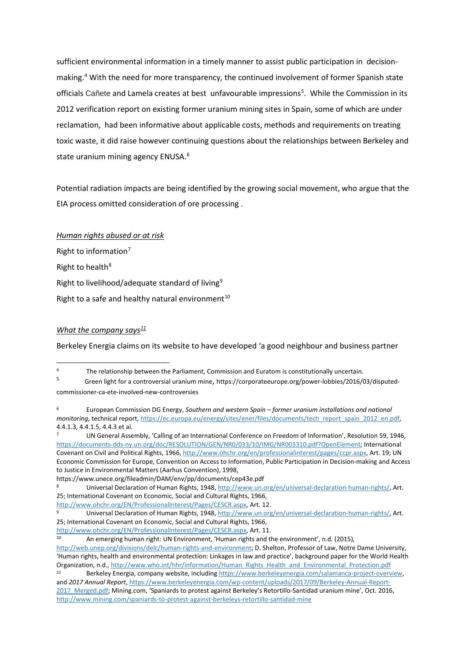sufficient environmental information in a timely manner to assist public participation in decision-making.<sup>[4](#page-1-0)</sup> With the need for more transparency, the continued involvement of former Spanish state officials Cañete and Lamela creates at best unfavourable impressions<sup>[5](#page-1-1)</sup>. While the Commission in its 2012 verification report on existing former uranium mining sites in Spain, some of which are under reclamation, had been informative about applicable costs, methods and requirements on treating toxic waste, it did raise however continuing questions about the relationships between Berkeley and state uranium mining agency ENUSA.<sup>[6](#page-1-2)</sup>

Potential radiation impacts are being identified by the growing social movement, who argue that the EIA process omitted consideration of ore processing .

*Human rights abused or at risk*  Right to information $<sup>7</sup>$  $<sup>7</sup>$  $<sup>7</sup>$ </sup> Right to health<sup>[8](#page-1-4)</sup> Right to livelihood/adequate standard of living<sup>[9](#page-1-5)</sup> Right to a safe and healthy natural environment<sup>[10](#page-1-6)</sup>

## *What the company says[11](#page-1-7)*

Berkeley Energia claims on its website to have developed 'a good neighbour and business partner

<span id="page-1-1"></span>

<span id="page-1-0"></span><sup>&</sup>lt;sup>4</sup> The relationship between the Parliament, Commission and Euratom is constitutionally uncertain.<br><sup>5</sup> Green light for a controversial uranium mine, https://corporateeurope.org/power-lobbies/2016/03/disputedcommissioner-ca-ete-involved-new-controversies

<span id="page-1-2"></span><sup>6</sup> European Commission DG Energy, *Southern and western Spain – former uranium installations and national monitoring*, technical report[, https://ec.europa.eu/energy/sites/ener/files/documents/tech\\_report\\_spain\\_2012\\_en.pdf,](https://ec.europa.eu/energy/sites/ener/files/documents/tech_report_spain_2012_en.pdf)  4.4.1.3, 4.4.1.5, 4.4.3 et al.

<span id="page-1-3"></span><sup>7</sup> UN General Assembly, 'Calling of an International Conference on Freedom of Information', Resolution 59, 1946, [https://documents-dds-ny.un.org/doc/RESOLUTION/GEN/NR0/033/10/IMG/NR003310.pdf?OpenElement;](https://documents-dds-ny.un.org/doc/RESOLUTION/GEN/NR0/033/10/IMG/NR003310.pdf?OpenElement) International Covenant on Civil and Political Rights, 1966[, http://www.ohchr.org/en/professionalinterest/pages/ccpr.aspx,](http://www.ohchr.org/en/professionalinterest/pages/ccpr.aspx) Art. 19; UN Economic Commission for Europe, Convention on Access to Information, Public Participation in Decision-making and Access to Justice in Environmental Matters (Aarhus Convention), 1998,

<span id="page-1-4"></span>https://www.unece.org/fileadmin/DAM/env/pp/documents/cep43e.pdf<br><sup>8</sup> Universal Declaration of Human Rights, 1948, [http://www.un.org/en/universal-declaration-human-rights/,](http://www.un.org/en/universal-declaration-human-rights/) Art. 25; International Covenant on Economic, Social and Cultural Rights, 1966,

<span id="page-1-5"></span>[http://www.ohchr.org/EN/ProfessionalInterest/Pages/CESCR.aspx,](http://www.ohchr.org/EN/ProfessionalInterest/Pages/CESCR.aspx) Art. 12.<br>9 Universal Declaration of Human Rights, 1948, [http://www.un.org/en/universal-declaration-human-rights/,](http://www.un.org/en/universal-declaration-human-rights/) Art. 25; International Covenant on Economic, Social and Cultural Rights, 1966,

<span id="page-1-6"></span>[http://www.ohchr.org/EN/ProfessionalInterest/Pages/CESCR.aspx,](http://www.ohchr.org/EN/ProfessionalInterest/Pages/CESCR.aspx) Art. 11.

An emerging human right: UN Environment, 'Human rights and the environment', n.d. (2015),

[http://web.unep.org/divisions/delc/human-rights-and-environment;](http://web.unep.org/divisions/delc/human-rights-and-environment) D. Shelton, Professor of Law, Notre Dame University, 'Human rights, health and environmental protection: Linkages in law and practice', background paper for the World Health Organization, n.d.[, http://www.who.int/hhr/information/Human\\_Rights\\_Health\\_and\\_Environmental\\_Protection.pdf](http://www.who.int/hhr/information/Human_Rights_Health_and_Environmental_Protection.pdf)

<span id="page-1-7"></span>Berkeley Energia, company website, includin[g https://www.berkeleyenergia.com/salamanca-project-overview,](https://www.berkeleyenergia.com/salamanca-project-overview) and *2017 Annual Report*[, https://www.berkeleyenergia.com/wp-content/uploads/2017/09/Berkeley-Annual-Report-](https://www.berkeleyenergia.com/wp-content/uploads/2017/09/Berkeley-Annual-Report-2017_Merged.pdf)[2017\\_Merged.pdf;](https://www.berkeleyenergia.com/wp-content/uploads/2017/09/Berkeley-Annual-Report-2017_Merged.pdf) Mining.com, 'Spaniards to protest against Berkeley's Retortillo-Santidad uranium mine', Oct. 2016, <http://www.mining.com/spaniards-to-protest-against-berkeleys-retortillo-santidad-mine>